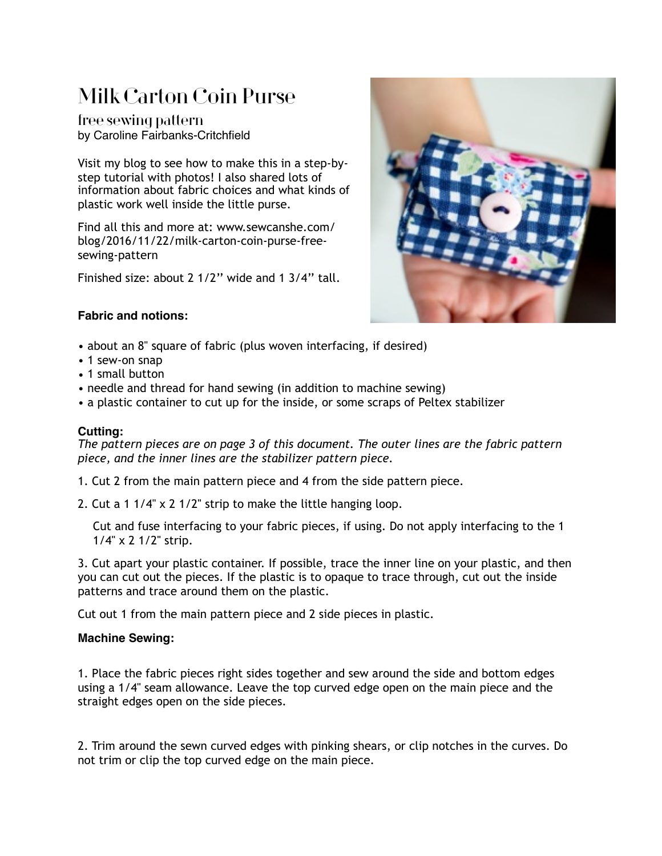# Milk Carton Coin Purse

free sewing pattern by Caroline Fairbanks-Critchfield

Visit my blog to see how to make this in a step-bystep tutorial with photos! I also shared lots of information about fabric choices and what kinds of plastic work well inside the little purse.

Find all this and more at: www.sewcanshe.com/ blog/2016/11/22/milk-carton-coin-purse-freesewing-pattern

Finished size: about 2 1/2'' wide and 1 3/4'' tall.



#### **Fabric and notions:**

- about an 8'' square of fabric (plus woven interfacing, if desired)
- 1 sew-on snap
- 1 small button
- needle and thread for hand sewing (in addition to machine sewing)
- a plastic container to cut up for the inside, or some scraps of Peltex stabilizer

### **Cutting:**

*The pattern pieces are on page 3 of this document. The outer lines are the fabric pattern piece, and the inner lines are the stabilizer pattern piece.*

1. Cut 2 from the main pattern piece and 4 from the side pattern piece.

2. Cut a 1 1/4'' x 2 1/2'' strip to make the little hanging loop.

Cut and fuse interfacing to your fabric pieces, if using. Do not apply interfacing to the 1 1/4'' x 2 1/2'' strip.

3. Cut apart your plastic container. If possible, trace the inner line on your plastic, and then you can cut out the pieces. If the plastic is to opaque to trace through, cut out the inside patterns and trace around them on the plastic.

Cut out 1 from the main pattern piece and 2 side pieces in plastic.

# **Machine Sewing:**

1. Place the fabric pieces right sides together and sew around the side and bottom edges using a 1/4'' seam allowance. Leave the top curved edge open on the main piece and the straight edges open on the side pieces.

2. Trim around the sewn curved edges with pinking shears, or clip notches in the curves. Do not trim or clip the top curved edge on the main piece.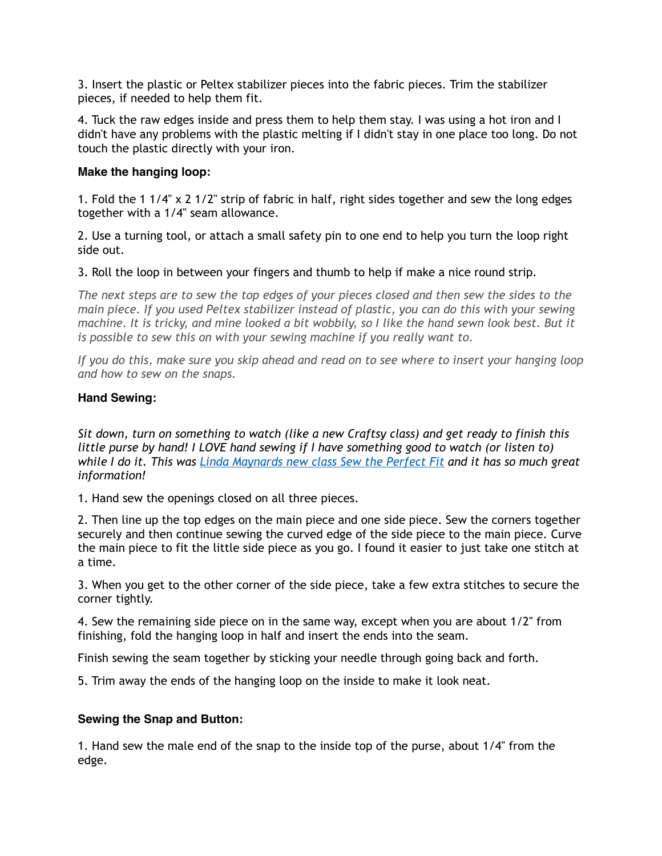3. Insert the plastic or Peltex stabilizer pieces into the fabric pieces. Trim the stabilizer pieces, if needed to help them fit.

4. Tuck the raw edges inside and press them to help them stay. I was using a hot iron and I didn't have any problems with the plastic melting if I didn't stay in one place too long. Do not touch the plastic directly with your iron.

#### **Make the hanging loop:**

1. Fold the 1 1/4"  $\times$  2 1/2" strip of fabric in half, right sides together and sew the long edges together with a 1/4'' seam allowance.

2. Use a turning tool, or attach a small safety pin to one end to help you turn the loop right side out.

3. Roll the loop in between your fingers and thumb to help if make a nice round strip.

The next steps are to sew the top edges of your pieces closed and then sew the sides to the *main piece. If you used Peltex stabilizer instead of plastic, you can do this with your sewing machine. It is tricky, and mine looked a bit wobbily, so I like the hand sewn look best. But it is possible to sew this on with your sewing machine if you really want to.* 

*If you do this, make sure you skip ahead and read on to see where to insert your hanging loop and how to sew on the snaps.*

## **Hand Sewing:**

*Sit down, turn on something to watch (like a new Craftsy class) and get ready to finish this little purse by hand! I LOVE hand sewing if I have something good to watch (or listen to) while I do it. This was [Linda Maynards new class Sew the Perfect Fit](http://www.shareasale.com/r.cfm?B=447087&U=852401&M=29190&urllink=) and it has so much great information!* 

1. Hand sew the openings closed on all three pieces.

2. Then line up the top edges on the main piece and one side piece. Sew the corners together securely and then continue sewing the curved edge of the side piece to the main piece. Curve the main piece to fit the little side piece as you go. I found it easier to just take one stitch at a time.

3. When you get to the other corner of the side piece, take a few extra stitches to secure the corner tightly.

4. Sew the remaining side piece on in the same way, except when you are about 1/2'' from finishing, fold the hanging loop in half and insert the ends into the seam.

Finish sewing the seam together by sticking your needle through going back and forth.

5. Trim away the ends of the hanging loop on the inside to make it look neat.

# **Sewing the Snap and Button:**

1. Hand sew the male end of the snap to the inside top of the purse, about 1/4'' from the edge.